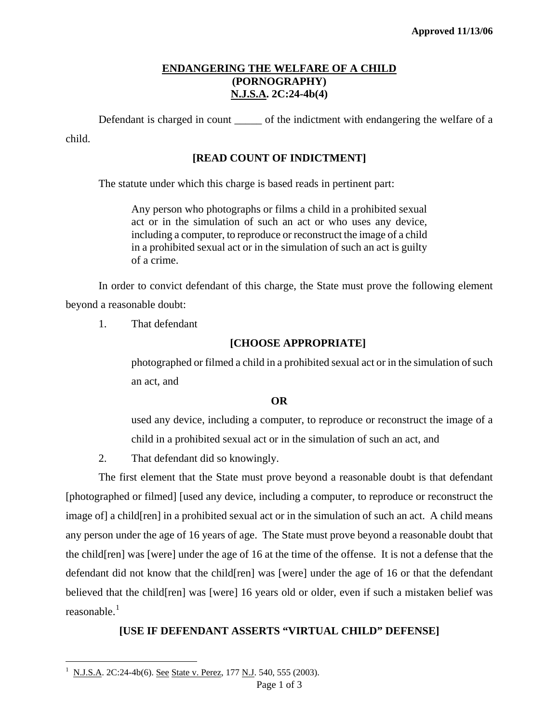# **ENDANGERING THE WELFARE OF A CHILD (PORNOGRAPHY) N.J.S.A. 2C:24-4b(4)**

Defendant is charged in count \_\_\_\_\_\_ of the indictment with endangering the welfare of a child.

### **[READ COUNT OF INDICTMENT]**

The statute under which this charge is based reads in pertinent part:

Any person who photographs or films a child in a prohibited sexual act or in the simulation of such an act or who uses any device, including a computer, to reproduce or reconstruct the image of a child in a prohibited sexual act or in the simulation of such an act is guilty of a crime.

In order to convict defendant of this charge, the State must prove the following element beyond a reasonable doubt:

1. That defendant

### **[CHOOSE APPROPRIATE]**

photographed or filmed a child in a prohibited sexual act or in the simulation of such an act, and

#### **OR**

used any device, including a computer, to reproduce or reconstruct the image of a child in a prohibited sexual act or in the simulation of such an act, and

2. That defendant did so knowingly.

<span id="page-0-1"></span>The first element that the State must prove beyond a reasonable doubt is that defendant [photographed or filmed] [used any device, including a computer, to reproduce or reconstruct the image of] a child[ren] in a prohibited sexual act or in the simulation of such an act. A child means any person under the age of 16 years of age. The State must prove beyond a reasonable doubt that the child[ren] was [were] under the age of 16 at the time of the offense. It is not a defense that the defendant did not know that the child[ren] was [were] under the age of 16 or that the defendant believed that the child[ren] was [were] 16 years old or older, even if such a mistaken belief was reasonable.<sup>[1](#page-0-0)</sup>

# **[USE IF DEFENDANT ASSERTS "VIRTUAL CHILD" DEFENSE]**

 $\overline{\phantom{0}}$ 

<span id="page-0-0"></span><sup>1</sup> N.J.S.A. 2C:24-4b(6). See State v. Perez, 177 N.J. 540, 555 (2003).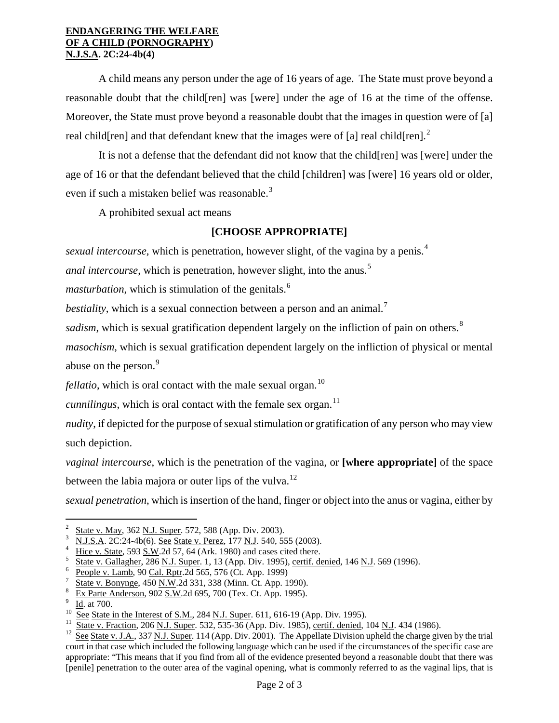#### **ENDANGERING THE WELFARE OF A CHILD (PORNOGRAPHY) N.J.S.A. 2C:24-4b(4)**

A child means any person under the age of 16 years of age. The State must prove beyond a reasonable doubt that the child[ren] was [were] under the age of 16 at the time of the offense. Moreover, the State must prove beyond a reasonable doubt that the images in question were of [a] real child [ren] and that defendant knew that the images were of [a] real child [ren].<sup>[2](#page-0-1)</sup>

It is not a defense that the defendant did not know that the child[ren] was [were] under the age of 16 or that the defendant believed that the child [children] was [were] 16 years old or older, even if such a mistaken belief was reasonable.<sup>[3](#page-1-0)</sup>

A prohibited sexual act means

### **[CHOOSE APPROPRIATE]**

*sexual intercourse*, which is penetration, however slight, of the vagina by a penis.<sup>[4](#page-1-1)</sup>

*anal intercourse*, which is penetration, however slight, into the anus.<sup>[5](#page-1-2)</sup>

*masturbation*, which is stimulation of the genitals.<sup>[6](#page-1-3)</sup>

*bestiality*, which is a sexual connection between a person and an animal.<sup>[7](#page-1-4)</sup>

*sadism*, which is sexual gratification dependent largely on the infliction of pain on others.<sup>[8](#page-1-5)</sup>

*masochism*, which is sexual gratification dependent largely on the infliction of physical or mental abuse on the person.<sup>[9](#page-1-6)</sup>

*fellatio*, which is oral contact with the male sexual organ.<sup>[10](#page-1-7)</sup>

*cunnilingus*, which is oral contact with the female sex organ.<sup>[11](#page-1-8)</sup>

*nudity*, if depicted for the purpose of sexual stimulation or gratification of any person who may view such depiction.

*vaginal intercourse*, which is the penetration of the vagina, or **[where appropriate]** of the space between the labia majora or outer lips of the vulva.<sup>[12](#page-1-9)</sup>

*sexual penetration*, which is insertion of the hand, finger or object into the anus or vagina, either by

i<br>Li

<sup>2</sup> State v. May, 362 N.J. Super. 572, 588 (App. Div. 2003). 3

<span id="page-1-0"></span>N.J.S.A. 2C:24-4b(6). See State v. Perez, 177 N.J. 540, 555 (2003).

<span id="page-1-1"></span>Hice v. State, 593 S.W.2d 57, 64 (Ark. 1980) and cases cited there.

<span id="page-1-2"></span>State v. Gallagher, 286 N.J. Super. 1, 13 (App. Div. 1995), certif. denied, 146 N.J. 569 (1996). 6

<span id="page-1-3"></span>People v. Lamb, 90 Cal. Rptr.2d 565, 576 (Ct. App. 1999)

<span id="page-1-10"></span><span id="page-1-4"></span>State v. Bonynge, 450 N.W.2d 331, 338 (Minn. Ct. App. 1990). 8

<span id="page-1-5"></span>Ex Parte Anderson, 902 S.W.2d 695, 700 (Tex. Ct. App. 1995).<br>Id. at 700.

<span id="page-1-7"></span><span id="page-1-6"></span><sup>&</sup>lt;sup>10</sup> See State in the Interest of S.M., 284 <u>N.J. Super</u>. 611, 616-19 (App. Div. 1995).<br><sup>11</sup> State v. Fraction, 206 <u>N.J. Super</u>. 532, 535-36 (App. Div. 1985), <u>certif. denied</u>, 104 <u>N.J</u>. 434 (1986).<br><sup>12</sup> See State v. J.

<span id="page-1-9"></span><span id="page-1-8"></span>court in that case which included the following language which can be used if the circumstances of the specific case are appropriate: "This means that if you find from all of the evidence presented beyond a reasonable doubt that there was [penile] penetration to the outer area of the vaginal opening, what is commonly referred to as the vaginal lips, that is